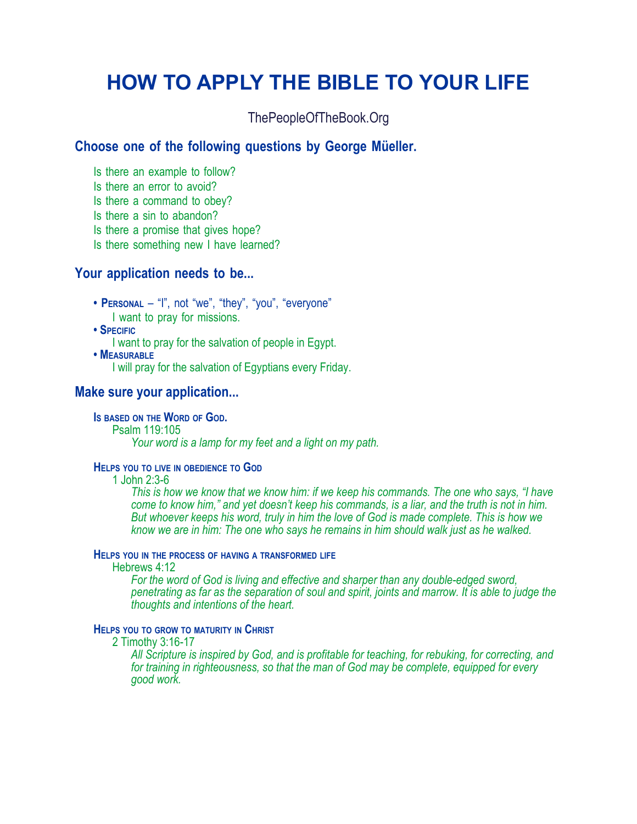## **HOW TO APPLY THE BIBLE TO YOUR LIFE**

ThePeopleOfTheBook.Org

#### **Choose one of the following questions by George Müeller.**

Is there an example to follow?

Is there an error to avoid?

Is there a command to obey?

Is there a sin to abandon?

Is there a promise that gives hope?

Is there something new I have learned?

#### **Your application needs to be...**

**• PERSONAL** – "I", not "we", "they", "you", "everyone" I want to pray for missions.

**• SPECIFIC**

I want to pray for the salvation of people in Egypt.

**• MEASURABLE**

I will pray for the salvation of Egyptians every Friday.

#### **Make sure your application...**

**IS BASED ON THE WORD OF GOD.**

Psalm 119:105

*Your word is a lamp for my feet and a light on my path.*

#### **HELPS YOU TO LIVE IN OBEDIENCE TO GOD**

1 John 2:3-6

*This is how we know that we know him: if we keep his commands. The one who says, "I have come to know him," and yet doesn't keep his commands, is a liar, and the truth is not in him. But whoever keeps his word, truly in him the love of God is made complete. This is how we know we are in him: The one who says he remains in him should walk just as he walked.*

#### **HELPS YOU IN THE PROCESS OF HAVING A TRANSFORMED LIFE**

Hebrews 4:12

*For the word of God is living and effective and sharper than any double-edged sword, penetrating as far as the separation of soul and spirit, joints and marrow. It is able to judge the thoughts and intentions of the heart.*

#### **HELPS YOU TO GROW TO MATURITY IN CHRIST**

2 Timothy 3:16-17

*All Scripture is inspired by God, and is profitable for teaching, for rebuking, for correcting, and for training in righteousness, so that the man of God may be complete, equipped for every good work.*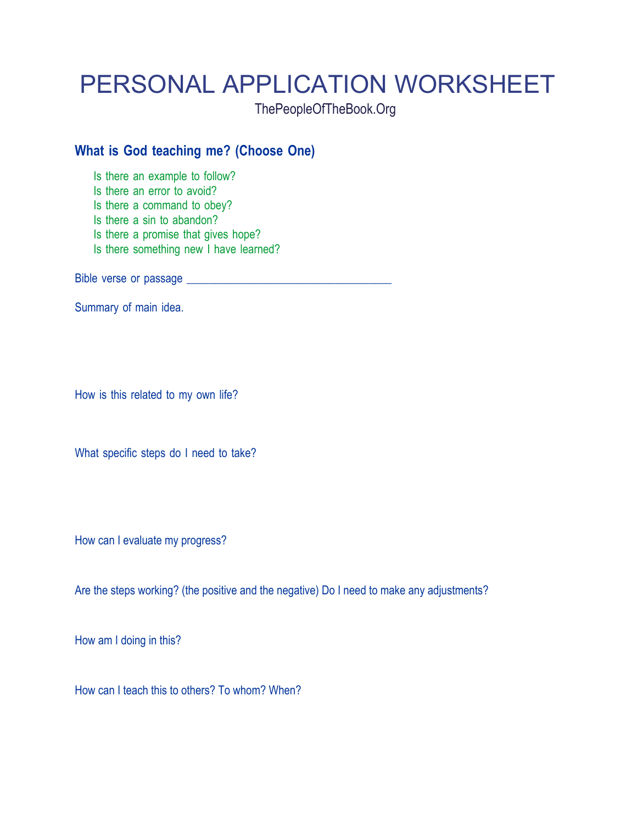# PERSONAL APPLICATION WORKSHEET

ThePeopleOfTheBook.Org

### **What is God teaching me? (Choose One)**

Is there an example to follow?

Is there an error to avoid?

Is there a command to obey?

Is there a sin to abandon?

Is there a promise that gives hope?

Is there something new I have learned?

Bible verse or passage \_\_\_\_\_\_\_\_\_\_\_\_\_\_\_\_\_\_\_\_\_\_\_\_\_\_\_\_\_\_\_\_\_\_\_\_

Summary of main idea.

How is this related to my own life?

What specific steps do I need to take?

How can I evaluate my progress?

Are the steps working? (the positive and the negative) Do I need to make any adjustments?

How am I doing in this?

How can I teach this to others? To whom? When?